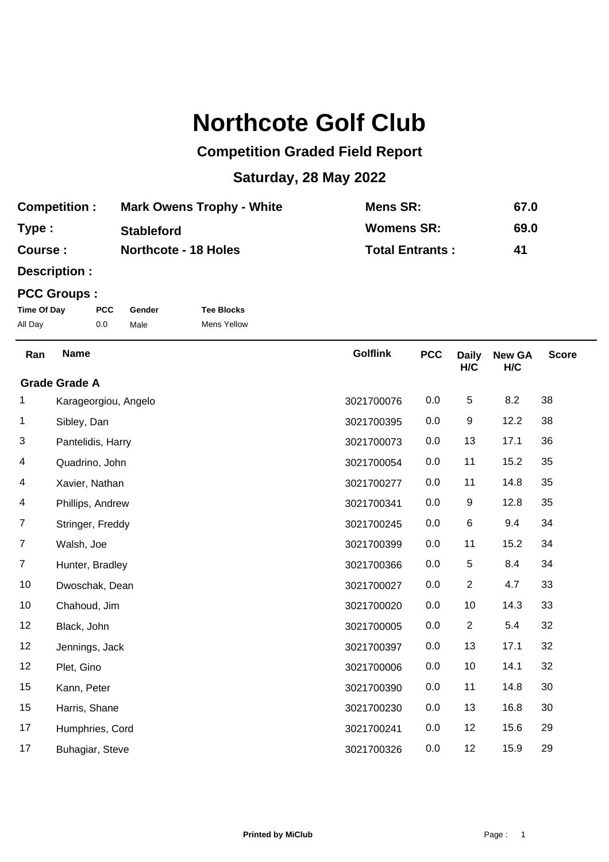## **Northcote Golf Club**

## **Competition Graded Field Report**

## **Saturday, 28 May 2022**

| <b>Competition:</b> | <b>Mark Owens Trophy - White</b> | Mens SR:               | 67.0 |
|---------------------|----------------------------------|------------------------|------|
| Type:               | <b>Stableford</b>                | <b>Womens SR:</b>      | 69.0 |
| Course :            | <b>Northcote - 18 Holes</b>      | <b>Total Entrants:</b> | 41   |

**Description :**

## **PCC Groups :**

| Time Of Day | <b>PCC</b> | Gender | <b>Tee Blocks</b>  |
|-------------|------------|--------|--------------------|
| All Day     | 0.0        | Male   | <b>Mens Yellow</b> |

| Ran | <b>Name</b>          | <b>Golflink</b> | <b>PCC</b> | <b>Daily</b><br>H/C | <b>New GA</b><br>H/C | <b>Score</b> |
|-----|----------------------|-----------------|------------|---------------------|----------------------|--------------|
|     | <b>Grade Grade A</b> |                 |            |                     |                      |              |
| 1   | Karageorgiou, Angelo | 3021700076      | 0.0        | 5                   | 8.2                  | 38           |
| 1   | Sibley, Dan          | 3021700395      | 0.0        | 9                   | 12.2                 | 38           |
| 3   | Pantelidis, Harry    | 3021700073      | 0.0        | 13                  | 17.1                 | 36           |
| 4   | Quadrino, John       | 3021700054      | 0.0        | 11                  | 15.2                 | 35           |
| 4   | Xavier, Nathan       | 3021700277      | 0.0        | 11                  | 14.8                 | 35           |
| 4   | Phillips, Andrew     | 3021700341      | 0.0        | 9                   | 12.8                 | 35           |
| 7   | Stringer, Freddy     | 3021700245      | 0.0        | 6                   | 9.4                  | 34           |
| 7   | Walsh, Joe           | 3021700399      | 0.0        | 11                  | 15.2                 | 34           |
| 7   | Hunter, Bradley      | 3021700366      | 0.0        | 5                   | 8.4                  | 34           |
| 10  | Dwoschak, Dean       | 3021700027      | 0.0        | $\overline{c}$      | 4.7                  | 33           |
| 10  | Chahoud, Jim         | 3021700020      | 0.0        | 10                  | 14.3                 | 33           |
| 12  | Black, John          | 3021700005      | 0.0        | $\overline{2}$      | 5.4                  | 32           |
| 12  | Jennings, Jack       | 3021700397      | 0.0        | 13                  | 17.1                 | 32           |
| 12  | Plet, Gino           | 3021700006      | 0.0        | 10                  | 14.1                 | 32           |
| 15  | Kann, Peter          | 3021700390      | 0.0        | 11                  | 14.8                 | 30           |
| 15  | Harris, Shane        | 3021700230      | 0.0        | 13                  | 16.8                 | 30           |
| 17  | Humphries, Cord      | 3021700241      | 0.0        | 12                  | 15.6                 | 29           |
| 17  | Buhagiar, Steve      | 3021700326      | 0.0        | 12                  | 15.9                 | 29           |